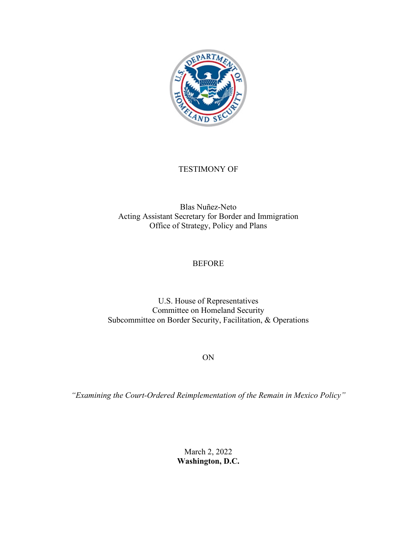

## TESTIMONY OF

Blas Nuñez-Neto Acting Assistant Secretary for Border and Immigration Office of Strategy, Policy and Plans

## **BEFORE**

U.S. House of Representatives Committee on Homeland Security Subcommittee on Border Security, Facilitation, & Operations

ON

*"Examining the Court-Ordered Reimplementation of the Remain in Mexico Policy"*

March 2, 2022 **Washington, D.C.**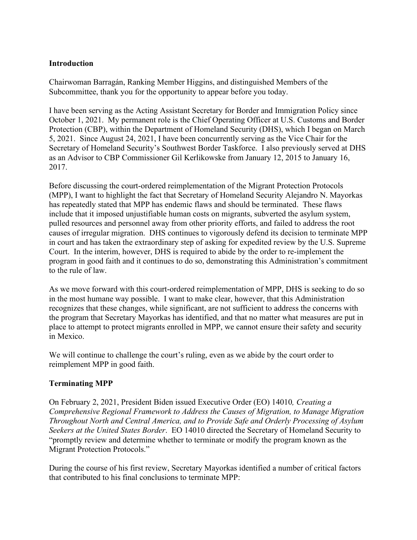#### **Introduction**

Chairwoman Barragán, Ranking Member Higgins, and distinguished Members of the Subcommittee, thank you for the opportunity to appear before you today.

I have been serving as the Acting Assistant Secretary for Border and Immigration Policy since October 1, 2021. My permanent role is the Chief Operating Officer at U.S. Customs and Border Protection (CBP), within the Department of Homeland Security (DHS), which I began on March 5, 2021. Since August 24, 2021, I have been concurrently serving as the Vice Chair for the Secretary of Homeland Security's Southwest Border Taskforce. I also previously served at DHS as an Advisor to CBP Commissioner Gil Kerlikowske from January 12, 2015 to January 16, 2017.

Before discussing the court-ordered reimplementation of the Migrant Protection Protocols (MPP), I want to highlight the fact that Secretary of Homeland Security Alejandro N. Mayorkas has repeatedly stated that MPP has endemic flaws and should be terminated. These flaws include that it imposed unjustifiable human costs on migrants, subverted the asylum system, pulled resources and personnel away from other priority efforts, and failed to address the root causes of irregular migration. DHS continues to vigorously defend its decision to terminate MPP in court and has taken the extraordinary step of asking for expedited review by the U.S. Supreme Court. In the interim, however, DHS is required to abide by the order to re-implement the program in good faith and it continues to do so, demonstrating this Administration's commitment to the rule of law.

As we move forward with this court-ordered reimplementation of MPP, DHS is seeking to do so in the most humane way possible. I want to make clear, however, that this Administration recognizes that these changes, while significant, are not sufficient to address the concerns with the program that Secretary Mayorkas has identified, and that no matter what measures are put in place to attempt to protect migrants enrolled in MPP, we cannot ensure their safety and security in Mexico.

We will continue to challenge the court's ruling, even as we abide by the court order to reimplement MPP in good faith.

## **Terminating MPP**

On February 2, 2021, President Biden issued Executive Order (EO) 14010*, Creating a Comprehensive Regional Framework to Address the Causes of Migration, to Manage Migration Throughout North and Central America, and to Provide Safe and Orderly Processing of Asylum Seekers at the United States Border*. EO 14010 directed the Secretary of Homeland Security to "promptly review and determine whether to terminate or modify the program known as the Migrant Protection Protocols."

During the course of his first review, Secretary Mayorkas identified a number of critical factors that contributed to his final conclusions to terminate MPP: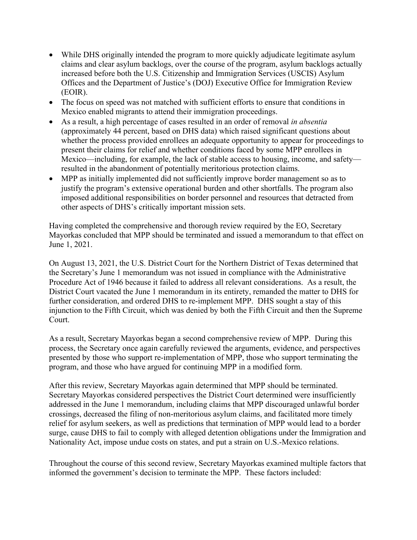- While DHS originally intended the program to more quickly adjudicate legitimate asylum claims and clear asylum backlogs, over the course of the program, asylum backlogs actually increased before both the U.S. Citizenship and Immigration Services (USCIS) Asylum Offices and the Department of Justice's (DOJ) Executive Office for Immigration Review (EOIR).
- The focus on speed was not matched with sufficient efforts to ensure that conditions in Mexico enabled migrants to attend their immigration proceedings.
- As a result, a high percentage of cases resulted in an order of removal *in absentia* (approximately 44 percent, based on DHS data) which raised significant questions about whether the process provided enrollees an adequate opportunity to appear for proceedings to present their claims for relief and whether conditions faced by some MPP enrollees in Mexico—including, for example, the lack of stable access to housing, income, and safety resulted in the abandonment of potentially meritorious protection claims.
- MPP as initially implemented did not sufficiently improve border management so as to justify the program's extensive operational burden and other shortfalls. The program also imposed additional responsibilities on border personnel and resources that detracted from other aspects of DHS's critically important mission sets.

Having completed the comprehensive and thorough review required by the EO, Secretary Mayorkas concluded that MPP should be terminated and issued a memorandum to that effect on June 1, 2021.

On August 13, 2021, the U.S. District Court for the Northern District of Texas determined that the Secretary's June 1 memorandum was not issued in compliance with the Administrative Procedure Act of 1946 because it failed to address all relevant considerations. As a result, the District Court vacated the June 1 memorandum in its entirety, remanded the matter to DHS for further consideration, and ordered DHS to re-implement MPP. DHS sought a stay of this injunction to the Fifth Circuit, which was denied by both the Fifth Circuit and then the Supreme Court.

As a result, Secretary Mayorkas began a second comprehensive review of MPP. During this process, the Secretary once again carefully reviewed the arguments, evidence, and perspectives presented by those who support re-implementation of MPP, those who support terminating the program, and those who have argued for continuing MPP in a modified form.

After this review, Secretary Mayorkas again determined that MPP should be terminated. Secretary Mayorkas considered perspectives the District Court determined were insufficiently addressed in the June 1 memorandum, including claims that MPP discouraged unlawful border crossings, decreased the filing of non-meritorious asylum claims, and facilitated more timely relief for asylum seekers, as well as predictions that termination of MPP would lead to a border surge, cause DHS to fail to comply with alleged detention obligations under the Immigration and Nationality Act, impose undue costs on states, and put a strain on U.S.-Mexico relations.

Throughout the course of this second review, Secretary Mayorkas examined multiple factors that informed the government's decision to terminate the MPP. These factors included: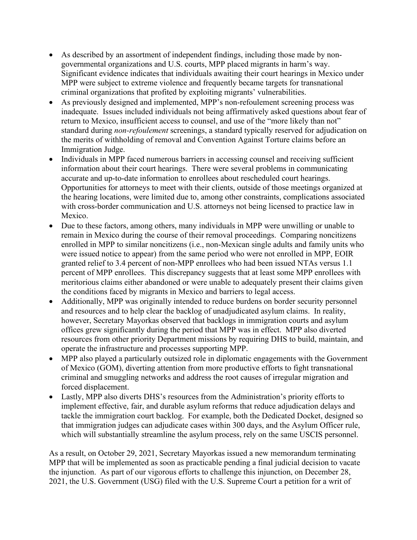- As described by an assortment of independent findings, including those made by nongovernmental organizations and U.S. courts, MPP placed migrants in harm's way. Significant evidence indicates that individuals awaiting their court hearings in Mexico under MPP were subject to extreme violence and frequently became targets for transnational criminal organizations that profited by exploiting migrants' vulnerabilities.
- As previously designed and implemented, MPP's non-refoulement screening process was inadequate. Issues included individuals not being affirmatively asked questions about fear of return to Mexico, insufficient access to counsel, and use of the "more likely than not" standard during *non-refoulement* screenings, a standard typically reserved for adjudication on the merits of withholding of removal and Convention Against Torture claims before an Immigration Judge.
- Individuals in MPP faced numerous barriers in accessing counsel and receiving sufficient information about their court hearings. There were several problems in communicating accurate and up-to-date information to enrollees about rescheduled court hearings. Opportunities for attorneys to meet with their clients, outside of those meetings organized at the hearing locations, were limited due to, among other constraints, complications associated with cross-border communication and U.S. attorneys not being licensed to practice law in Mexico.
- Due to these factors, among others, many individuals in MPP were unwilling or unable to remain in Mexico during the course of their removal proceedings. Comparing noncitizens enrolled in MPP to similar noncitizens (i.e., non-Mexican single adults and family units who were issued notice to appear) from the same period who were not enrolled in MPP, EOIR granted relief to 3.4 percent of non-MPP enrollees who had been issued NTAs versus 1.1 percent of MPP enrollees. This discrepancy suggests that at least some MPP enrollees with meritorious claims either abandoned or were unable to adequately present their claims given the conditions faced by migrants in Mexico and barriers to legal access.
- Additionally, MPP was originally intended to reduce burdens on border security personnel and resources and to help clear the backlog of unadjudicated asylum claims. In reality, however, Secretary Mayorkas observed that backlogs in immigration courts and asylum offices grew significantly during the period that MPP was in effect. MPP also diverted resources from other priority Department missions by requiring DHS to build, maintain, and operate the infrastructure and processes supporting MPP.
- MPP also played a particularly outsized role in diplomatic engagements with the Government of Mexico (GOM), diverting attention from more productive efforts to fight transnational criminal and smuggling networks and address the root causes of irregular migration and forced displacement.
- Lastly, MPP also diverts DHS's resources from the Administration's priority efforts to implement effective, fair, and durable asylum reforms that reduce adjudication delays and tackle the immigration court backlog. For example, both the Dedicated Docket, designed so that immigration judges can adjudicate cases within 300 days, and the Asylum Officer rule, which will substantially streamline the asylum process, rely on the same USCIS personnel.

As a result, on October 29, 2021, Secretary Mayorkas issued a new memorandum terminating MPP that will be implemented as soon as practicable pending a final judicial decision to vacate the injunction. As part of our vigorous efforts to challenge this injunction, on December 28, 2021, the U.S. Government (USG) filed with the U.S. Supreme Court a petition for a writ of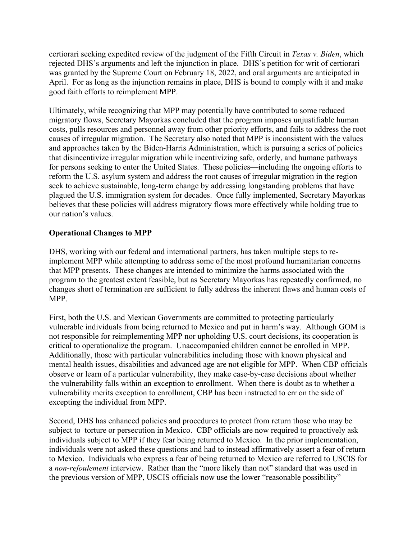certiorari seeking expedited review of the judgment of the Fifth Circuit in *Texas v. Biden*, which rejected DHS's arguments and left the injunction in place. DHS's petition for writ of certiorari was granted by the Supreme Court on February 18, 2022, and oral arguments are anticipated in April. For as long as the injunction remains in place, DHS is bound to comply with it and make good faith efforts to reimplement MPP.

Ultimately, while recognizing that MPP may potentially have contributed to some reduced migratory flows, Secretary Mayorkas concluded that the program imposes unjustifiable human costs, pulls resources and personnel away from other priority efforts, and fails to address the root causes of irregular migration. The Secretary also noted that MPP is inconsistent with the values and approaches taken by the Biden-Harris Administration, which is pursuing a series of policies that disincentivize irregular migration while incentivizing safe, orderly, and humane pathways for persons seeking to enter the United States. These policies—including the ongoing efforts to reform the U.S. asylum system and address the root causes of irregular migration in the region seek to achieve sustainable, long-term change by addressing longstanding problems that have plagued the U.S. immigration system for decades. Once fully implemented, Secretary Mayorkas believes that these policies will address migratory flows more effectively while holding true to our nation's values.

# **Operational Changes to MPP**

DHS, working with our federal and international partners, has taken multiple steps to reimplement MPP while attempting to address some of the most profound humanitarian concerns that MPP presents. These changes are intended to minimize the harms associated with the program to the greatest extent feasible, but as Secretary Mayorkas has repeatedly confirmed, no changes short of termination are sufficient to fully address the inherent flaws and human costs of MPP.

First, both the U.S. and Mexican Governments are committed to protecting particularly vulnerable individuals from being returned to Mexico and put in harm's way. Although GOM is not responsible for reimplementing MPP nor upholding U.S. court decisions, its cooperation is critical to operationalize the program. Unaccompanied children cannot be enrolled in MPP. Additionally, those with particular vulnerabilities including those with known physical and mental health issues, disabilities and advanced age are not eligible for MPP. When CBP officials observe or learn of a particular vulnerability, they make case-by-case decisions about whether the vulnerability falls within an exception to enrollment. When there is doubt as to whether a vulnerability merits exception to enrollment, CBP has been instructed to err on the side of excepting the individual from MPP.

Second, DHS has enhanced policies and procedures to protect from return those who may be subject to torture or persecution in Mexico. CBP officials are now required to proactively ask individuals subject to MPP if they fear being returned to Mexico. In the prior implementation, individuals were not asked these questions and had to instead affirmatively assert a fear of return to Mexico. Individuals who express a fear of being returned to Mexico are referred to USCIS for a *non-refoulement* interview. Rather than the "more likely than not" standard that was used in the previous version of MPP, USCIS officials now use the lower "reasonable possibility"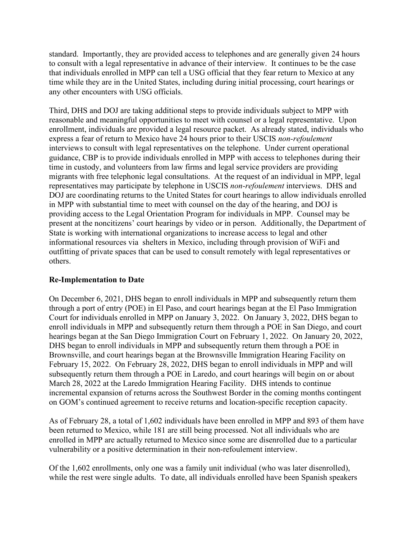standard. Importantly, they are provided access to telephones and are generally given 24 hours to consult with a legal representative in advance of their interview. It continues to be the case that individuals enrolled in MPP can tell a USG official that they fear return to Mexico at any time while they are in the United States, including during initial processing, court hearings or any other encounters with USG officials.

Third, DHS and DOJ are taking additional steps to provide individuals subject to MPP with reasonable and meaningful opportunities to meet with counsel or a legal representative. Upon enrollment, individuals are provided a legal resource packet. As already stated, individuals who express a fear of return to Mexico have 24 hours prior to their USCIS *non-refoulement* interviews to consult with legal representatives on the telephone. Under current operational guidance, CBP is to provide individuals enrolled in MPP with access to telephones during their time in custody, and volunteers from law firms and legal service providers are providing migrants with free telephonic legal consultations. At the request of an individual in MPP, legal representatives may participate by telephone in USCIS *non-refoulement* interviews. DHS and DOJ are coordinating returns to the United States for court hearings to allow individuals enrolled in MPP with substantial time to meet with counsel on the day of the hearing, and DOJ is providing access to the Legal Orientation Program for individuals in MPP. Counsel may be present at the noncitizens' court hearings by video or in person. Additionally, the Department of State is working with international organizations to increase access to legal and other informational resources via shelters in Mexico, including through provision of WiFi and outfitting of private spaces that can be used to consult remotely with legal representatives or others.

#### **Re-Implementation to Date**

On December 6, 2021, DHS began to enroll individuals in MPP and subsequently return them through a port of entry (POE) in El Paso, and court hearings began at the El Paso Immigration Court for individuals enrolled in MPP on January 3, 2022. On January 3, 2022, DHS began to enroll individuals in MPP and subsequently return them through a POE in San Diego, and court hearings began at the San Diego Immigration Court on February 1, 2022. On January 20, 2022, DHS began to enroll individuals in MPP and subsequently return them through a POE in Brownsville, and court hearings began at the Brownsville Immigration Hearing Facility on February 15, 2022. On February 28, 2022, DHS began to enroll individuals in MPP and will subsequently return them through a POE in Laredo, and court hearings will begin on or about March 28, 2022 at the Laredo Immigration Hearing Facility. DHS intends to continue incremental expansion of returns across the Southwest Border in the coming months contingent on GOM's continued agreement to receive returns and location-specific reception capacity.

As of February 28, a total of 1,602 individuals have been enrolled in MPP and 893 of them have been returned to Mexico, while 181 are still being processed. Not all individuals who are enrolled in MPP are actually returned to Mexico since some are disenrolled due to a particular vulnerability or a positive determination in their non-refoulement interview.

Of the 1,602 enrollments, only one was a family unit individual (who was later disenrolled), while the rest were single adults. To date, all individuals enrolled have been Spanish speakers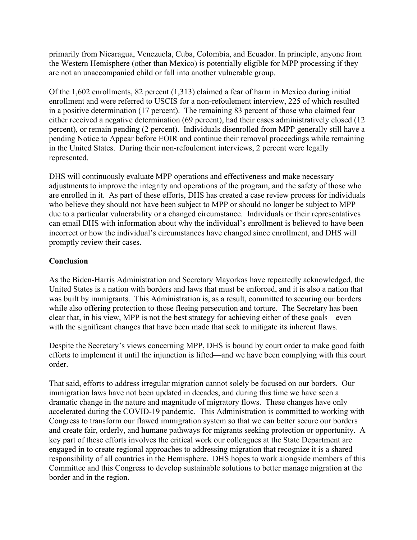primarily from Nicaragua, Venezuela, Cuba, Colombia, and Ecuador. In principle, anyone from the Western Hemisphere (other than Mexico) is potentially eligible for MPP processing if they are not an unaccompanied child or fall into another vulnerable group.

Of the 1,602 enrollments, 82 percent (1,313) claimed a fear of harm in Mexico during initial enrollment and were referred to USCIS for a non-refoulement interview, 225 of which resulted in a positive determination (17 percent). The remaining 83 percent of those who claimed fear either received a negative determination (69 percent), had their cases administratively closed (12 percent), or remain pending (2 percent). Individuals disenrolled from MPP generally still have a pending Notice to Appear before EOIR and continue their removal proceedings while remaining in the United States. During their non-refoulement interviews, 2 percent were legally represented.

DHS will continuously evaluate MPP operations and effectiveness and make necessary adjustments to improve the integrity and operations of the program, and the safety of those who are enrolled in it. As part of these efforts, DHS has created a case review process for individuals who believe they should not have been subject to MPP or should no longer be subject to MPP due to a particular vulnerability or a changed circumstance. Individuals or their representatives can email DHS with information about why the individual's enrollment is believed to have been incorrect or how the individual's circumstances have changed since enrollment, and DHS will promptly review their cases.

## **Conclusion**

As the Biden-Harris Administration and Secretary Mayorkas have repeatedly acknowledged, the United States is a nation with borders and laws that must be enforced, and it is also a nation that was built by immigrants. This Administration is, as a result, committed to securing our borders while also offering protection to those fleeing persecution and torture. The Secretary has been clear that, in his view, MPP is not the best strategy for achieving either of these goals—even with the significant changes that have been made that seek to mitigate its inherent flaws.

Despite the Secretary's views concerning MPP, DHS is bound by court order to make good faith efforts to implement it until the injunction is lifted—and we have been complying with this court order.

That said, efforts to address irregular migration cannot solely be focused on our borders. Our immigration laws have not been updated in decades, and during this time we have seen a dramatic change in the nature and magnitude of migratory flows. These changes have only accelerated during the COVID-19 pandemic. This Administration is committed to working with Congress to transform our flawed immigration system so that we can better secure our borders and create fair, orderly, and humane pathways for migrants seeking protection or opportunity. A key part of these efforts involves the critical work our colleagues at the State Department are engaged in to create regional approaches to addressing migration that recognize it is a shared responsibility of all countries in the Hemisphere. DHS hopes to work alongside members of this Committee and this Congress to develop sustainable solutions to better manage migration at the border and in the region.